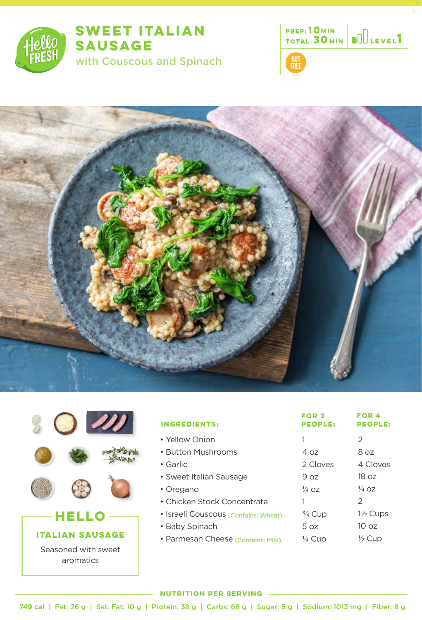

# **SWEET ITALIAN SAUSAGE** with Couscous and Spinach







|                                   | <b>INGREDIENTS:</b>                  | FOR <sub>2</sub><br><b>PEOPLE:</b> | <b>FOR 4</b><br><b>PEOPLE:</b> |
|-----------------------------------|--------------------------------------|------------------------------------|--------------------------------|
|                                   | • Yellow Onion                       |                                    | $\mathcal{P}$                  |
|                                   | • Button Mushrooms                   | 4 oz                               | 8 oz                           |
|                                   | • Garlic                             | 2 Cloves                           | 4 Cloves                       |
|                                   | • Sweet Italian Sausage              | 9 oz                               | 18 oz                          |
|                                   | • Oregano                            | $\frac{1}{4}$ OZ                   | $\frac{1}{4}$ OZ               |
|                                   | • Chicken Stock Concentrate          |                                    | $\overline{2}$                 |
| HELLO                             | · Israeli Couscous (Contains: Wheat) | $\frac{3}{4}$ Cup                  | $1\frac{1}{2}$ Cups            |
| <b>N SAUSAGE</b><br><b>ITALIA</b> | • Baby Spinach                       | 5 oz                               | 10 <sub>oz</sub>               |
|                                   | · Parmesan Cheese (Contains: Milk)   | $\frac{1}{4}$ Cup                  | $\frac{1}{2}$ Cup              |
| Seasoned with sweet               |                                      |                                    |                                |

#### **NUTRITION PER SERVING**

aromatics